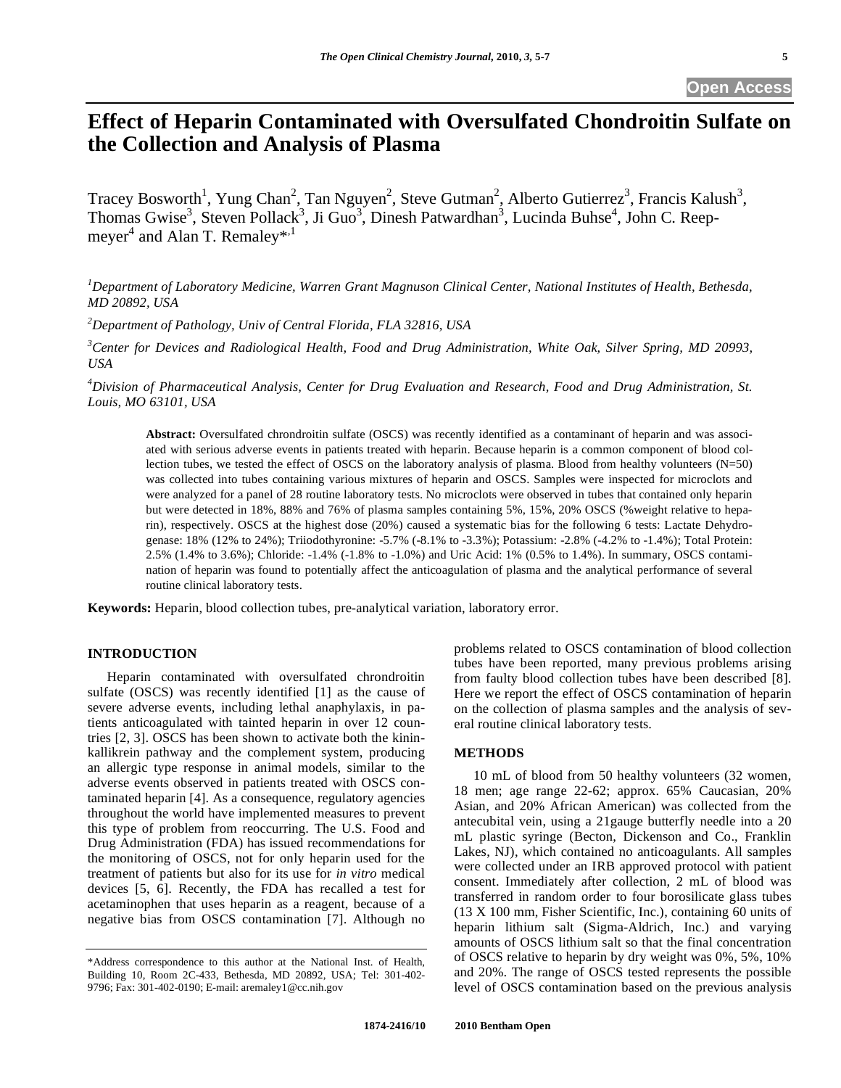# **Effect of Heparin Contaminated with Oversulfated Chondroitin Sulfate on the Collection and Analysis of Plasma**

Tracey Bosworth<sup>1</sup>, Yung Chan<sup>2</sup>, Tan Nguyen<sup>2</sup>, Steve Gutman<sup>2</sup>, Alberto Gutierrez<sup>3</sup>, Francis Kalush<sup>3</sup>, Thomas Gwise<sup>3</sup>, Steven Pollack<sup>3</sup>, Ji Guo<sup>3</sup>, Dinesh Patwardhan<sup>3</sup>, Lucinda Buhse<sup>4</sup>, John C. Reepmeyer<sup>4</sup> and Alan T. Remaley\*<sup>,1</sup>

<sup>1</sup> Department of Laboratory Medicine, Warren Grant Magnuson Clinical Center, National Institutes of Health, Bethesda, *MD 20892, USA* 

*2 Department of Pathology, Univ of Central Florida, FLA 32816, USA* 

<sup>3</sup> Center for Devices and Radiological Health, Food and Drug Administration, White Oak, Silver Spring, MD 20993, *USA* 

*4 Division of Pharmaceutical Analysis, Center for Drug Evaluation and Research, Food and Drug Administration, St. Louis, MO 63101, USA* 

**Abstract:** Oversulfated chrondroitin sulfate (OSCS) was recently identified as a contaminant of heparin and was associated with serious adverse events in patients treated with heparin. Because heparin is a common component of blood collection tubes, we tested the effect of OSCS on the laboratory analysis of plasma. Blood from healthy volunteers (N=50) was collected into tubes containing various mixtures of heparin and OSCS. Samples were inspected for microclots and were analyzed for a panel of 28 routine laboratory tests. No microclots were observed in tubes that contained only heparin but were detected in 18%, 88% and 76% of plasma samples containing 5%, 15%, 20% OSCS (%weight relative to heparin), respectively. OSCS at the highest dose (20%) caused a systematic bias for the following 6 tests: Lactate Dehydrogenase: 18% (12% to 24%); Triiodothyronine: -5.7% (-8.1% to -3.3%); Potassium: -2.8% (-4.2% to -1.4%); Total Protein: 2.5% (1.4% to 3.6%); Chloride: -1.4% (-1.8% to -1.0%) and Uric Acid: 1% (0.5% to 1.4%). In summary, OSCS contamination of heparin was found to potentially affect the anticoagulation of plasma and the analytical performance of several routine clinical laboratory tests.

**Keywords:** Heparin, blood collection tubes, pre-analytical variation, laboratory error.

## **INTRODUCTION**

 Heparin contaminated with oversulfated chrondroitin sulfate (OSCS) was recently identified [1] as the cause of severe adverse events, including lethal anaphylaxis, in patients anticoagulated with tainted heparin in over 12 countries [2, 3]. OSCS has been shown to activate both the kininkallikrein pathway and the complement system, producing an allergic type response in animal models, similar to the adverse events observed in patients treated with OSCS contaminated heparin [4]. As a consequence, regulatory agencies throughout the world have implemented measures to prevent this type of problem from reoccurring. The U.S. Food and Drug Administration (FDA) has issued recommendations for the monitoring of OSCS, not for only heparin used for the treatment of patients but also for its use for *in vitro* medical devices [5, 6]. Recently, the FDA has recalled a test for acetaminophen that uses heparin as a reagent, because of a negative bias from OSCS contamination [7]. Although no

problems related to OSCS contamination of blood collection tubes have been reported, many previous problems arising from faulty blood collection tubes have been described [8]. Here we report the effect of OSCS contamination of heparin on the collection of plasma samples and the analysis of several routine clinical laboratory tests.

#### **METHODS**

 10 mL of blood from 50 healthy volunteers (32 women, 18 men; age range 22-62; approx. 65% Caucasian, 20% Asian, and 20% African American) was collected from the antecubital vein, using a 21gauge butterfly needle into a 20 mL plastic syringe (Becton, Dickenson and Co., Franklin Lakes, NJ), which contained no anticoagulants. All samples were collected under an IRB approved protocol with patient consent. Immediately after collection, 2 mL of blood was transferred in random order to four borosilicate glass tubes (13 X 100 mm, Fisher Scientific, Inc.), containing 60 units of heparin lithium salt (Sigma-Aldrich, Inc.) and varying amounts of OSCS lithium salt so that the final concentration of OSCS relative to heparin by dry weight was 0%, 5%, 10% and 20%. The range of OSCS tested represents the possible level of OSCS contamination based on the previous analysis

<sup>\*</sup>Address correspondence to this author at the National Inst. of Health, Building 10, Room 2C-433, Bethesda, MD 20892, USA; Tel: 301-402- 9796; Fax: 301-402-0190; E-mail: aremaley1@cc.nih.gov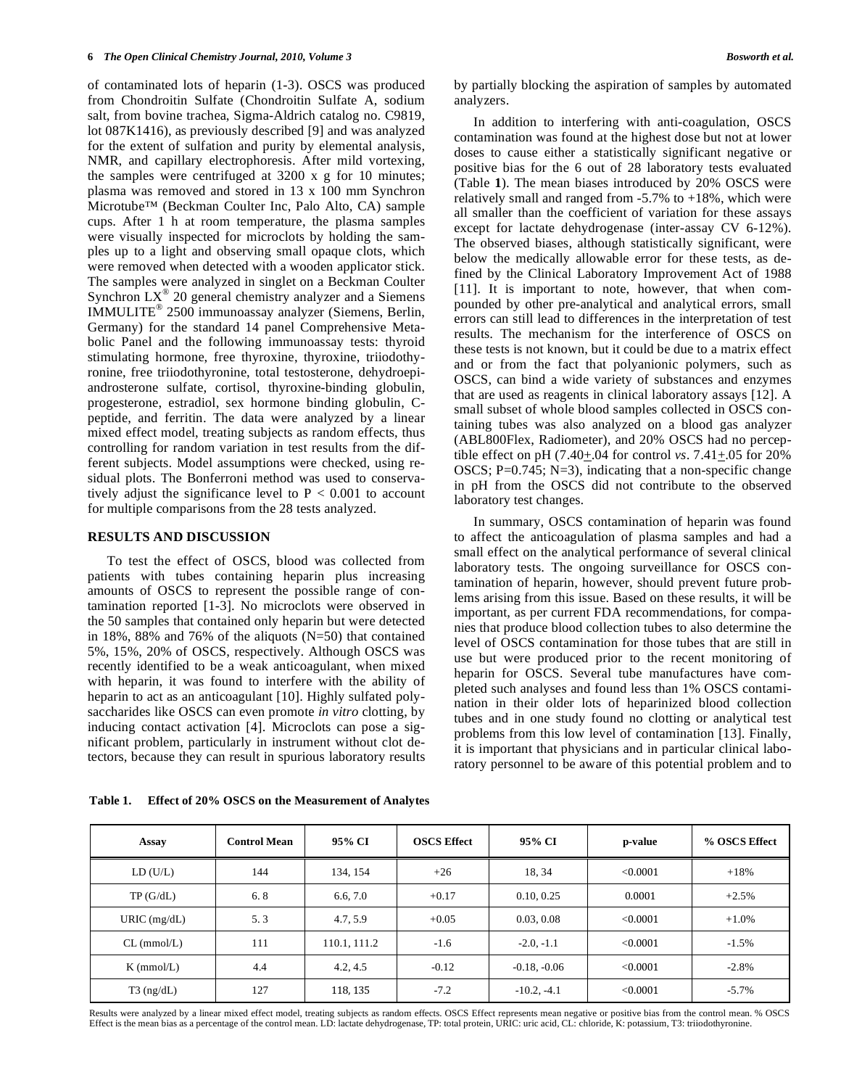of contaminated lots of heparin (1-3). OSCS was produced from Chondroitin Sulfate (Chondroitin Sulfate A, sodium salt, from bovine trachea, Sigma-Aldrich catalog no. C9819, lot 087K1416), as previously described [9] and was analyzed for the extent of sulfation and purity by elemental analysis, NMR, and capillary electrophoresis. After mild vortexing, the samples were centrifuged at 3200 x g for 10 minutes; plasma was removed and stored in 13 x 100 mm Synchron Microtube™ (Beckman Coulter Inc, Palo Alto, CA) sample cups. After 1 h at room temperature, the plasma samples were visually inspected for microclots by holding the samples up to a light and observing small opaque clots, which were removed when detected with a wooden applicator stick. The samples were analyzed in singlet on a Beckman Coulter Synchron  $LX^{\circledast}$  20 general chemistry analyzer and a Siemens IMMULITE® 2500 immunoassay analyzer (Siemens, Berlin, Germany) for the standard 14 panel Comprehensive Metabolic Panel and the following immunoassay tests: thyroid stimulating hormone, free thyroxine, thyroxine, triiodothyronine, free triiodothyronine, total testosterone, dehydroepiandrosterone sulfate, cortisol, thyroxine-binding globulin, progesterone, estradiol, sex hormone binding globulin, Cpeptide, and ferritin. The data were analyzed by a linear mixed effect model, treating subjects as random effects, thus controlling for random variation in test results from the different subjects. Model assumptions were checked, using residual plots. The Bonferroni method was used to conservatively adjust the significance level to  $P < 0.001$  to account for multiple comparisons from the 28 tests analyzed.

## **RESULTS AND DISCUSSION**

 To test the effect of OSCS, blood was collected from patients with tubes containing heparin plus increasing amounts of OSCS to represent the possible range of contamination reported [1-3]. No microclots were observed in the 50 samples that contained only heparin but were detected in 18%, 88% and 76% of the aliquots (N=50) that contained 5%, 15%, 20% of OSCS, respectively. Although OSCS was recently identified to be a weak anticoagulant, when mixed with heparin, it was found to interfere with the ability of heparin to act as an anticoagulant [10]. Highly sulfated polysaccharides like OSCS can even promote *in vitro* clotting, by inducing contact activation [4]. Microclots can pose a significant problem, particularly in instrument without clot detectors, because they can result in spurious laboratory results by partially blocking the aspiration of samples by automated analyzers.

 In addition to interfering with anti-coagulation, OSCS contamination was found at the highest dose but not at lower doses to cause either a statistically significant negative or positive bias for the 6 out of 28 laboratory tests evaluated (Table **1**). The mean biases introduced by 20% OSCS were relatively small and ranged from  $-5.7\%$  to  $+18\%$ , which were all smaller than the coefficient of variation for these assays except for lactate dehydrogenase (inter-assay CV 6-12%). The observed biases, although statistically significant, were below the medically allowable error for these tests, as defined by the Clinical Laboratory Improvement Act of 1988 [11]. It is important to note, however, that when compounded by other pre-analytical and analytical errors, small errors can still lead to differences in the interpretation of test results. The mechanism for the interference of OSCS on these tests is not known, but it could be due to a matrix effect and or from the fact that polyanionic polymers, such as OSCS, can bind a wide variety of substances and enzymes that are used as reagents in clinical laboratory assays [12]. A small subset of whole blood samples collected in OSCS containing tubes was also analyzed on a blood gas analyzer (ABL800Flex, Radiometer), and 20% OSCS had no perceptible effect on pH (7.40+.04 for control *vs*. 7.41+.05 for 20% OSCS;  $P=0.745$ ;  $N=3$ ), indicating that a non-specific change in pH from the OSCS did not contribute to the observed laboratory test changes.

 In summary, OSCS contamination of heparin was found to affect the anticoagulation of plasma samples and had a small effect on the analytical performance of several clinical laboratory tests. The ongoing surveillance for OSCS contamination of heparin, however, should prevent future problems arising from this issue. Based on these results, it will be important, as per current FDA recommendations, for companies that produce blood collection tubes to also determine the level of OSCS contamination for those tubes that are still in use but were produced prior to the recent monitoring of heparin for OSCS. Several tube manufactures have completed such analyses and found less than 1% OSCS contamination in their older lots of heparinized blood collection tubes and in one study found no clotting or analytical test problems from this low level of contamination [13]. Finally, it is important that physicians and in particular clinical laboratory personnel to be aware of this potential problem and to

| Assay          | <b>Control Mean</b> | 95% CI       | <b>OSCS Effect</b> | 95% CI         | p-value  | % OSCS Effect |
|----------------|---------------------|--------------|--------------------|----------------|----------|---------------|
| LD(U/L)        | 144                 | 134, 154     | $+26$              | 18.34          | < 0.0001 | $+18%$        |
| TP(G/dL)       | 6.8                 | 6.6.7.0      | $+0.17$            | 0.10, 0.25     | 0.0001   | $+2.5%$       |
| URIC $(mg/dL)$ | 5.3                 | 4.7, 5.9     | $+0.05$            | 0.03, 0.08     | < 0.0001 | $+1.0%$       |
| $CL$ (mmol/L)  | 111                 | 110.1, 111.2 | $-1.6$             | $-2.0, -1.1$   | < 0.0001 | $-1.5%$       |
| $K$ (mmol/L)   | 4.4                 | 4.2, 4.5     | $-0.12$            | $-0.18, -0.06$ | < 0.0001 | $-2.8%$       |
| $T3$ (ng/dL)   | 127                 | 118, 135     | $-7.2$             | $-10.2, -4.1$  | < 0.0001 | $-5.7%$       |

**Table 1. Effect of 20% OSCS on the Measurement of Analytes** 

Results were analyzed by a linear mixed effect model, treating subjects as random effects. OSCS Effect represents mean negative or positive bias from the control mean. % OSCS Effect is the mean bias as a percentage of the control mean. LD: lactate dehydrogenase, TP: total protein, URIC: uric acid, CL: chloride, K: potassium, T3: triiodothyronine.